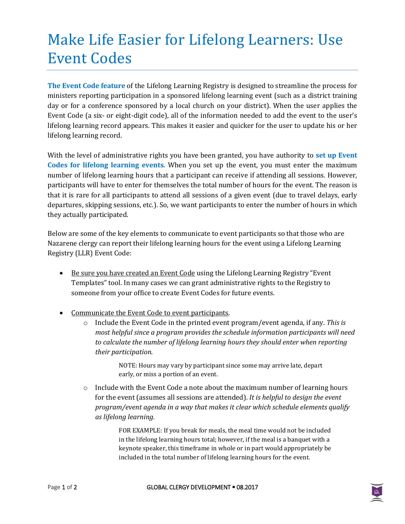## Make Life Easier for Lifelong Learners: Use Event Codes

**The Event Code feature** of the Lifelong Learning Registry is designed to streamline the process for ministers reporting participation in a sponsored lifelong learning event (such as a district training day or for a conference sponsored by a local church on your district). When the user applies the Event Code (a six- or eight-digit code), all of the information needed to add the event to the user's lifelong learning record appears. This makes it easier and quicker for the user to update his or her lifelong learning record.

With the level of administrative rights you have been granted, you have authority to **set up Event Codes for lifelong learning events**. When you set up the event, you must enter the maximum number of lifelong learning hours that a participant can receive if attending all sessions. However, participants will have to enter for themselves the total number of hours for the event. The reason is that it is rare for all participants to attend all sessions of a given event (due to travel delays, early departures, skipping sessions, etc.). So, we want participants to enter the number of hours in which they actually participated.

Below are some of the key elements to communicate to event participants so that those who are Nazarene clergy can report their lifelong learning hours for the event using a Lifelong Learning Registry (LLR) Event Code:

- Be sure you have created an Event Code using the Lifelong Learning Registry "Event" Templates" tool. In many cases we can grant administrative rights to the Registry to someone from your office to create Event Codes for future events.
- Communicate the Event Code to event participants.
	- o Include the Event Code in the printed event program/event agenda, if any. *This is most helpful since a program provides the schedule information participants will need to calculate the number of lifelong learning hours they should enter when reporting their participation.*

NOTE: Hours may vary by participant since some may arrive late, depart early, or miss a portion of an event.

 $\circ$  Include with the Event Code a note about the maximum number of learning hours for the event (assumes all sessions are attended). *It is helpful to design the event program/event agenda in a way that makes it clear which schedule elements qualify as lifelong learning.* 

> FOR EXAMPLE: If you break for meals, the meal time would not be included in the lifelong learning hours total; however, if the meal is a banquet with a keynote speaker, this timeframe in whole or in part would appropriately be included in the total number of lifelong learning hours for the event.